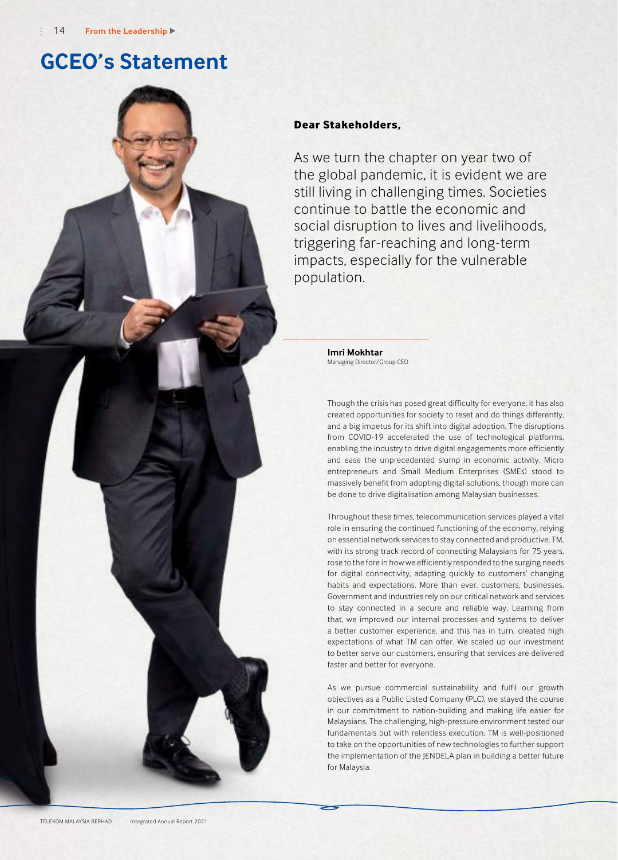# **GCEO's Statement**

### **Dear Stakeholders,**

As we turn the chapter on year two of the global pandemic, it is evident we are still living in challenging times. Societies continue to battle the economic and social disruption to lives and livelihoods, triggering far-reaching and long-term impacts, especially for the vulnerable population.

> **Imri Mokhtar** Managing Director/Group CEO

Though the crisis has posed great difficulty for everyone, it has also created opportunities for society to reset and do things differently, and a big impetus for its shift into digital adoption. The disruptions from COVID-19 accelerated the use of technological platforms, enabling the industry to drive digital engagements more efficiently and ease the unprecedented slump in economic activity. Micro entrepreneurs and Small Medium Enterprises (SMEs) stood to massively benefit from adopting digital solutions, though more can be done to drive digitalisation among Malaysian businesses.

Throughout these times, telecommunication services played a vital role in ensuring the continued functioning of the economy, relying on essential network services to stay connected and productive. TM, with its strong track record of connecting Malaysians for 75 years, rose to the fore in how we efficiently responded to the surging needs for digital connectivity, adapting quickly to customers' changing habits and expectations. More than ever, customers, businesses, Government and industries rely on our critical network and services to stay connected in a secure and reliable way. Learning from that, we improved our internal processes and systems to deliver a better customer experience, and this has in turn, created high expectations of what TM can offer. We scaled up our investment to better serve our customers, ensuring that services are delivered faster and better for everyone.

As we pursue commercial sustainability and fulfil our growth objectives as a Public Listed Company (PLC), we stayed the course in our commitment to nation-building and making life easier for Malaysians. The challenging, high-pressure environment tested our fundamentals but with relentless execution, TM is well-positioned to take on the opportunities of new technologies to further support the implementation of the JENDELA plan in building a better future for Malaysia.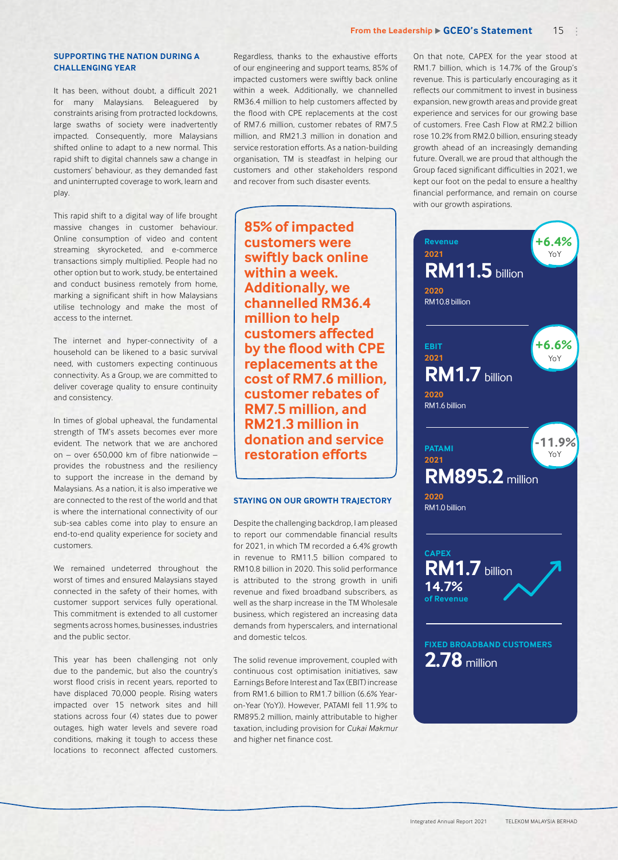### **SUPPORTING THE NATION DURING A CHALLENGING YEAR**

It has been, without doubt, a difficult 2021 for many Malaysians. Beleaguered by constraints arising from protracted lockdowns, large swaths of society were inadvertently impacted. Consequently, more Malaysians shifted online to adapt to a new normal. This rapid shift to digital channels saw a change in customers' behaviour, as they demanded fast and uninterrupted coverage to work, learn and play.

This rapid shift to a digital way of life brought massive changes in customer behaviour. Online consumption of video and content streaming skyrocketed, and e-commerce transactions simply multiplied. People had no other option but to work, study, be entertained and conduct business remotely from home, marking a significant shift in how Malaysians utilise technology and make the most of access to the internet.

The internet and hyper-connectivity of a household can be likened to a basic survival need, with customers expecting continuous connectivity. As a Group, we are committed to deliver coverage quality to ensure continuity and consistency.

In times of global upheaval, the fundamental strength of TM's assets becomes ever more evident. The network that we are anchored on – over 650,000 km of fibre nationwide – provides the robustness and the resiliency to support the increase in the demand by Malaysians. As a nation, it is also imperative we are connected to the rest of the world and that is where the international connectivity of our sub-sea cables come into play to ensure an end-to-end quality experience for society and customers.

We remained undeterred throughout the worst of times and ensured Malaysians stayed connected in the safety of their homes, with customer support services fully operational. This commitment is extended to all customer segments across homes, businesses, industries and the public sector.

This year has been challenging not only due to the pandemic, but also the country's worst flood crisis in recent years, reported to have displaced 70,000 people. Rising waters impacted over 15 network sites and hill stations across four (4) states due to power outages, high water levels and severe road conditions, making it tough to access these locations to reconnect affected customers.

Regardless, thanks to the exhaustive efforts of our engineering and support teams, 85% of impacted customers were swiftly back online within a week. Additionally, we channelled RM36.4 million to help customers affected by the flood with CPE replacements at the cost of RM7.6 million, customer rebates of RM7.5 million, and RM21.3 million in donation and service restoration efforts. As a nation-building organisation, TM is steadfast in helping our customers and other stakeholders respond and recover from such disaster events.

**85% of impacted customers were swiftly back online within a week. Additionally, we channelled RM36.4 million to help customers affected by the flood with CPE replacements at the cost of RM7.6 million, customer rebates of RM7.5 million, and RM21.3 million in donation and service restoration efforts**

### **STAYING ON OUR GROWTH TRAJECTORY**

Despite the challenging backdrop, I am pleased to report our commendable financial results for 2021, in which TM recorded a 6.4% growth in revenue to RM11.5 billion compared to RM10.8 billion in 2020. This solid performance is attributed to the strong growth in unifi revenue and fixed broadband subscribers, as well as the sharp increase in the TM Wholesale business, which registered an increasing data demands from hyperscalers, and international and domestic telcos.

The solid revenue improvement, coupled with continuous cost optimisation initiatives, saw Earnings Before Interest and Tax (EBIT) increase from RM1.6 billion to RM1.7 billion (6.6% Yearon-Year (YoY)). However, PATAMI fell 11.9% to RM895.2 million, mainly attributable to higher taxation, including provision for *Cukai Makmur* and higher net finance cost.

On that note, CAPEX for the year stood at RM1.7 billion, which is 14.7% of the Group's revenue. This is particularly encouraging as it reflects our commitment to invest in business expansion, new growth areas and provide great experience and services for our growing base of customers. Free Cash Flow at RM2.2 billion rose 10.2% from RM2.0 billion, ensuring steady growth ahead of an increasingly demanding future. Overall, we are proud that although the Group faced significant difficulties in 2021, we kept our foot on the pedal to ensure a healthy financial performance, and remain on course with our growth aspirations.

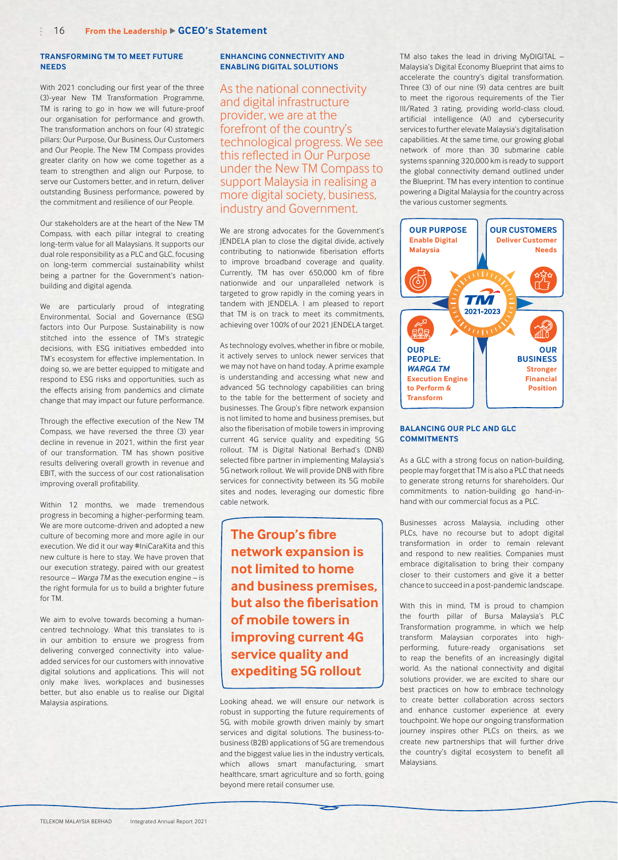### **TRANSFORMING TM TO MEET FUTURE NEEDS**

With 2021 concluding our first year of the three (3)-year New TM Transformation Programme, TM is raring to go in how we will future-proof our organisation for performance and growth. The transformation anchors on four (4) strategic pillars: Our Purpose, Our Business, Our Customers and Our People. The New TM Compass provides greater clarity on how we come together as a team to strengthen and align our Purpose, to serve our Customers better, and in return, deliver outstanding Business performance, powered by the commitment and resilience of our People.

Our stakeholders are at the heart of the New TM Compass, with each pillar integral to creating long-term value for all Malaysians. It supports our dual role responsibility as a PLC and GLC, focusing on long-term commercial sustainability whilst being a partner for the Government's nationbuilding and digital agenda.

We are particularly proud of integrating Environmental, Social and Governance (ESG) factors into Our Purpose. Sustainability is now stitched into the essence of TM's strategic decisions, with ESG initiatives embedded into TM's ecosystem for effective implementation. In doing so, we are better equipped to mitigate and respond to ESG risks and opportunities, such as the effects arising from pandemics and climate change that may impact our future performance.

Through the effective execution of the New TM Compass, we have reversed the three (3) year decline in revenue in 2021, within the first year of our transformation. TM has shown positive results delivering overall growth in revenue and EBIT, with the success of our cost rationalisation improving overall profitability.

Within 12 months, we made tremendous progress in becoming a higher-performing team. We are more outcome-driven and adopted a new culture of becoming more and more agile in our execution. We did it our way #IniCaraKita and this new culture is here to stay. We have proven that our execution strategy, paired with our greatest resource – *Warga TM* as the execution engine – is the right formula for us to build a brighter future for TM.

We aim to evolve towards becoming a humancentred technology. What this translates to is in our ambition to ensure we progress from delivering converged connectivity into valueadded services for our customers with innovative digital solutions and applications. This will not only make lives, workplaces and businesses better, but also enable us to realise our Digital Malaysia aspirations.

### **ENHANCING CONNECTIVITY AND ENABLING DIGITAL SOLUTIONS**

As the national connectivity and digital infrastructure provider, we are at the forefront of the country's technological progress. We see this reflected in Our Purpose under the New TM Compass to support Malaysia in realising a more digital society, business, industry and Government.

We are strong advocates for the Government's JENDELA plan to close the digital divide, actively contributing to nationwide fiberisation efforts to improve broadband coverage and quality. Currently, TM has over 650,000 km of fibre nationwide and our unparalleled network is targeted to grow rapidly in the coming years in tandem with JENDELA. I am pleased to report that TM is on track to meet its commitments, achieving over 100% of our 2021 JENDELA target.

As technology evolves, whether in fibre or mobile, it actively serves to unlock newer services that we may not have on hand today. A prime example is understanding and accessing what new and advanced 5G technology capabilities can bring to the table for the betterment of society and businesses. The Group's fibre network expansion is not limited to home and business premises, but also the fiberisation of mobile towers in improving current 4G service quality and expediting 5G rollout. TM is Digital National Berhad's (DNB) selected fibre partner in implementing Malaysia's 5G network rollout. We will provide DNB with fibre services for connectivity between its 5G mobile sites and nodes, leveraging our domestic fibre cable network.

**The Group's fibre network expansion is not limited to home and business premises, but also the fiberisation of mobile towers in improving current 4G service quality and expediting 5G rollout**

Looking ahead, we will ensure our network is robust in supporting the future requirements of 5G, with mobile growth driven mainly by smart services and digital solutions. The business-tobusiness (B2B) applications of 5G are tremendous and the biggest value lies in the industry verticals, which allows smart manufacturing, smart healthcare, smart agriculture and so forth, going beyond mere retail consumer use.

TM also takes the lead in driving MyDIGITAL – Malaysia's Digital Economy Blueprint that aims to accelerate the country's digital transformation. Three (3) of our nine (9) data centres are built to meet the rigorous requirements of the Tier III/Rated 3 rating, providing world-class cloud, artificial intelligence (AI) and cybersecurity services to further elevate Malaysia's digitalisation capabilities. At the same time, our growing global network of more than 30 submarine cable systems spanning 320,000 km is ready to support the global connectivity demand outlined under the Blueprint. TM has every intention to continue powering a Digital Malaysia for the country across the various customer segments.



### **BALANCING OUR PLC AND GLC COMMITMENTS**

As a GLC with a strong focus on nation-building, people may forget that TM is also a PLC that needs to generate strong returns for shareholders. Our commitments to nation-building go hand-inhand with our commercial focus as a PLC.

Businesses across Malaysia, including other PLCs, have no recourse but to adopt digital transformation in order to remain relevant and respond to new realities. Companies must embrace digitalisation to bring their company closer to their customers and give it a better chance to succeed in a post-pandemic landscape.

With this in mind, TM is proud to champion the fourth pillar of Bursa Malaysia's PLC Transformation programme, in which we help transform Malaysian corporates into highperforming, future-ready organisations set to reap the benefits of an increasingly digital world. As the national connectivity and digital solutions provider, we are excited to share our best practices on how to embrace technology to create better collaboration across sectors and enhance customer experience at every touchpoint. We hope our ongoing transformation journey inspires other PLCs on theirs, as we create new partnerships that will further drive the country's digital ecosystem to benefit all Malaysians.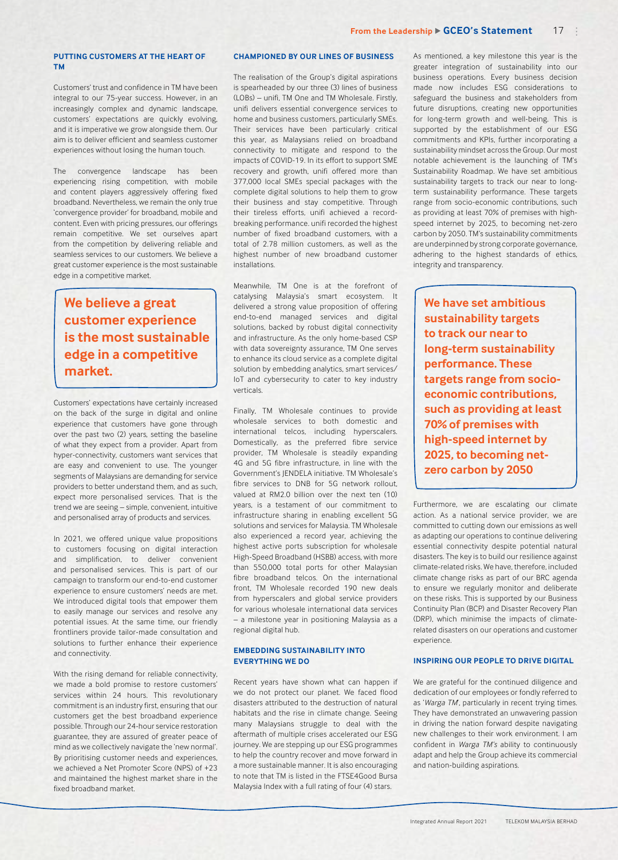### **PUTTING CUSTOMERS AT THE HEART OF TM**

Customers' trust and confidence in TM have been integral to our 75-year success. However, in an increasingly complex and dynamic landscape, customers' expectations are quickly evolving, and it is imperative we grow alongside them. Our aim is to deliver efficient and seamless customer experiences without losing the human touch.

The convergence landscape has been experiencing rising competition, with mobile and content players aggressively offering fixed broadband. Nevertheless, we remain the only true 'convergence provider' for broadband, mobile and content. Even with pricing pressures, our offerings remain competitive. We set ourselves apart from the competition by delivering reliable and seamless services to our customers. We believe a great customer experience is the most sustainable edge in a competitive market.

## **We believe a great customer experience is the most sustainable edge in a competitive market.**

Customers' expectations have certainly increased on the back of the surge in digital and online experience that customers have gone through over the past two (2) years, setting the baseline of what they expect from a provider. Apart from hyper-connectivity, customers want services that are easy and convenient to use. The younger segments of Malaysians are demanding for service providers to better understand them, and as such, expect more personalised services. That is the trend we are seeing – simple, convenient, intuitive and personalised array of products and services.

In 2021, we offered unique value propositions to customers focusing on digital interaction and simplification, to deliver convenient and personalised services. This is part of our campaign to transform our end-to-end customer experience to ensure customers' needs are met. We introduced digital tools that empower them to easily manage our services and resolve any potential issues. At the same time, our friendly frontliners provide tailor-made consultation and solutions to further enhance their experience and connectivity.

With the rising demand for reliable connectivity, we made a bold promise to restore customers' services within 24 hours. This revolutionary commitment is an industry first, ensuring that our customers get the best broadband experience possible. Through our 24-hour service restoration guarantee, they are assured of greater peace of mind as we collectively navigate the 'new normal'. By prioritising customer needs and experiences, we achieved a Net Promoter Score (NPS) of +23 and maintained the highest market share in the fixed broadband market.

### **CHAMPIONED BY OUR LINES OF BUSINESS**

The realisation of the Group's digital aspirations is spearheaded by our three (3) lines of business (LOBs) – unifi, TM One and TM Wholesale. Firstly, unifi delivers essential convergence services to home and business customers, particularly SMEs. Their services have been particularly critical this year, as Malaysians relied on broadband connectivity to mitigate and respond to the impacts of COVID-19. In its effort to support SME recovery and growth, unifi offered more than 377,000 local SMEs special packages with the complete digital solutions to help them to grow their business and stay competitive. Through their tireless efforts, unifi achieved a recordbreaking performance. unifi recorded the highest number of fixed broadband customers, with a total of 2.78 million customers, as well as the highest number of new broadband customer installations.

Meanwhile, TM One is at the forefront of catalysing Malaysia's smart ecosystem. It delivered a strong value proposition of offering end-to-end managed services and digital solutions, backed by robust digital connectivity and infrastructure. As the only home-based CSP with data sovereignty assurance, TM One serves to enhance its cloud service as a complete digital solution by embedding analytics, smart services/ IoT and cybersecurity to cater to key industry verticals.

Finally, TM Wholesale continues to provide wholesale services to both domestic and international telcos, including hyperscalers. Domestically, as the preferred fibre service provider, TM Wholesale is steadily expanding 4G and 5G fibre infrastructure, in line with the Government's JENDELA initiative. TM Wholesale's fibre services to DNB for 5G network rollout, valued at RM2.0 billion over the next ten (10) years, is a testament of our commitment to infrastructure sharing in enabling excellent 5G solutions and services for Malaysia. TM Wholesale also experienced a record year, achieving the highest active ports subscription for wholesale High-Speed Broadband (HSBB) access, with more than 550,000 total ports for other Malaysian fibre broadband telcos. On the international front, TM Wholesale recorded 190 new deals from hyperscalers and global service providers for various wholesale international data services – a milestone year in positioning Malaysia as a regional digital hub.

### **EMBEDDING SUSTAINABILITY INTO EVERYTHING WE DO**

Recent years have shown what can happen if we do not protect our planet. We faced flood disasters attributed to the destruction of natural habitats and the rise in climate change. Seeing many Malaysians struggle to deal with the aftermath of multiple crises accelerated our ESG journey. We are stepping up our ESG programmes to help the country recover and move forward in a more sustainable manner. It is also encouraging to note that TM is listed in the FTSE4Good Bursa Malaysia Index with a full rating of four (4) stars.

As mentioned, a key milestone this year is the greater integration of sustainability into our business operations. Every business decision made now includes ESG considerations to safeguard the business and stakeholders from future disruptions, creating new opportunities for long-term growth and well-being. This is supported by the establishment of our ESG commitments and KPIs, further incorporating a sustainability mindset across the Group. Our most notable achievement is the launching of TM's Sustainability Roadmap. We have set ambitious sustainability targets to track our near to longterm sustainability performance. These targets range from socio-economic contributions, such as providing at least 70% of premises with highspeed internet by 2025, to becoming net-zero carbon by 2050. TM's sustainability commitments are underpinned by strong corporate governance, adhering to the highest standards of ethics, integrity and transparency.

**We have set ambitious sustainability targets to track our near to long-term sustainability performance. These targets range from socioeconomic contributions, such as providing at least 70% of premises with high-speed internet by 2025, to becoming netzero carbon by 2050**

Furthermore, we are escalating our climate action. As a national service provider, we are committed to cutting down our emissions as well as adapting our operations to continue delivering essential connectivity despite potential natural disasters. The key is to build our resilience against climate-related risks. We have, therefore, included climate change risks as part of our BRC agenda to ensure we regularly monitor and deliberate on these risks. This is supported by our Business Continuity Plan (BCP) and Disaster Recovery Plan (DRP), which minimise the impacts of climaterelated disasters on our operations and customer experience.

### **INSPIRING OUR PEOPLE TO DRIVE DIGITAL**

We are grateful for the continued diligence and dedication of our employees or fondly referred to as '*Warga TM*', particularly in recent trying times. They have demonstrated an unwavering passion in driving the nation forward despite navigating new challenges to their work environment. I am confident in *Warga TM's* ability to continuously adapt and help the Group achieve its commercial and nation-building aspirations.